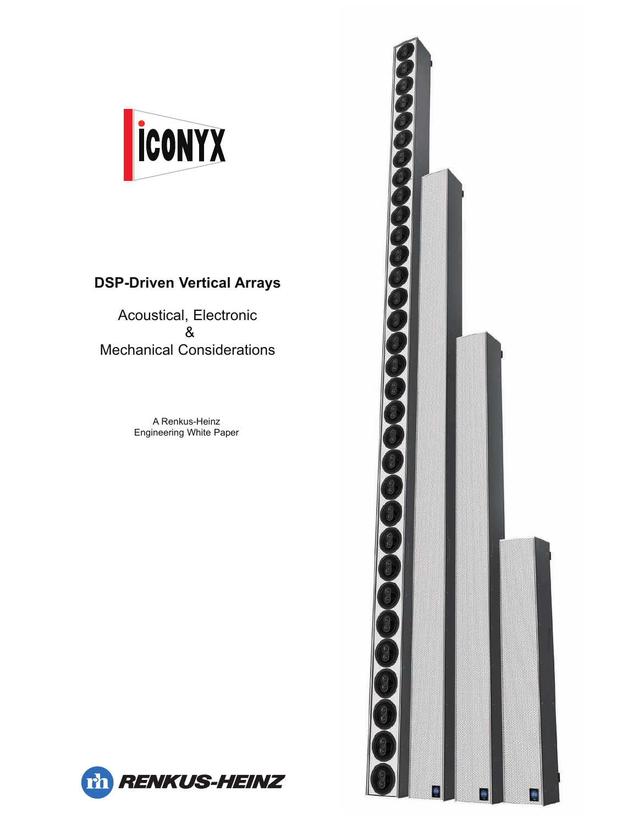

# **DSP-Driven Vertical Arrays**

Acoustical, Electronic & Mechanical Considerations

> A Renkus-Heinz Engineering White Paper



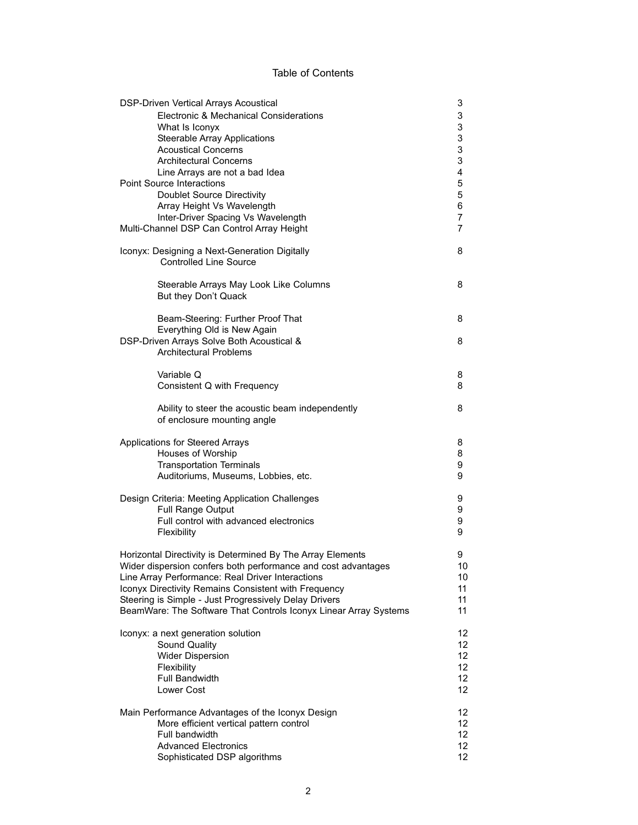#### Table of Contents

| 3<br><b>DSP-Driven Vertical Arrays Acoustical</b>                                           |                                                                                 |                              |
|---------------------------------------------------------------------------------------------|---------------------------------------------------------------------------------|------------------------------|
|                                                                                             | Electronic & Mechanical Considerations                                          | 3                            |
|                                                                                             | What Is Iconyx                                                                  | 3                            |
|                                                                                             | <b>Steerable Array Applications</b>                                             | 3                            |
|                                                                                             | <b>Acoustical Concerns</b>                                                      | 3                            |
|                                                                                             | <b>Architectural Concerns</b>                                                   | 3                            |
|                                                                                             | Line Arrays are not a bad Idea                                                  | $\overline{\mathbf{4}}$<br>5 |
| <b>Point Source Interactions</b>                                                            |                                                                                 |                              |
|                                                                                             | <b>Doublet Source Directivity</b>                                               | 5                            |
|                                                                                             | Array Height Vs Wavelength                                                      | 6<br>7                       |
| Inter-Driver Spacing Vs Wavelength<br>Multi-Channel DSP Can Control Array Height            |                                                                                 |                              |
|                                                                                             | Iconyx: Designing a Next-Generation Digitally<br><b>Controlled Line Source</b>  | 8                            |
|                                                                                             | Steerable Arrays May Look Like Columns<br>But they Don't Quack                  | 8                            |
|                                                                                             | Beam-Steering: Further Proof That                                               | 8                            |
|                                                                                             | Everything Old is New Again<br>DSP-Driven Arrays Solve Both Acoustical &        | 8                            |
|                                                                                             | <b>Architectural Problems</b>                                                   |                              |
|                                                                                             |                                                                                 |                              |
|                                                                                             | Variable Q<br>Consistent Q with Frequency                                       | 8<br>8                       |
|                                                                                             | Ability to steer the acoustic beam independently<br>of enclosure mounting angle | 8                            |
| Applications for Steered Arrays                                                             |                                                                                 | 8                            |
|                                                                                             | Houses of Worship                                                               | 8                            |
|                                                                                             | <b>Transportation Terminals</b>                                                 | 9                            |
|                                                                                             | Auditoriums, Museums, Lobbies, etc.                                             | 9                            |
| Design Criteria: Meeting Application Challenges                                             |                                                                                 |                              |
|                                                                                             | Full Range Output                                                               | 9                            |
|                                                                                             | Full control with advanced electronics<br>Flexibility                           | 9<br>9                       |
|                                                                                             | Horizontal Directivity is Determined By The Array Elements                      | 9                            |
|                                                                                             | Wider dispersion confers both performance and cost advantages                   | 10                           |
|                                                                                             | Line Array Performance: Real Driver Interactions                                | 10                           |
| Iconyx Directivity Remains Consistent with Frequency                                        |                                                                                 |                              |
|                                                                                             | Steering is Simple - Just Progressively Delay Drivers                           | 11<br>11                     |
|                                                                                             | BeamWare: The Software That Controls Iconyx Linear Array Systems                | 11                           |
| Iconyx: a next generation solution                                                          |                                                                                 | 12                           |
|                                                                                             | Sound Quality                                                                   | 12                           |
|                                                                                             | <b>Wider Dispersion</b><br>Flexibility                                          | 12.<br>12 <sup>2</sup>       |
|                                                                                             | <b>Full Bandwidth</b>                                                           | 12 <sup>2</sup>              |
|                                                                                             | Lower Cost                                                                      | 12 <sup>2</sup>              |
| 12 <sup>°</sup>                                                                             |                                                                                 |                              |
| Main Performance Advantages of the Iconyx Design<br>More efficient vertical pattern control |                                                                                 |                              |
|                                                                                             | Full bandwidth                                                                  | 12.<br>12                    |
|                                                                                             | <b>Advanced Electronics</b>                                                     | 12 <sup>2</sup>              |
|                                                                                             | Sophisticated DSP algorithms                                                    | 12 <sup>°</sup>              |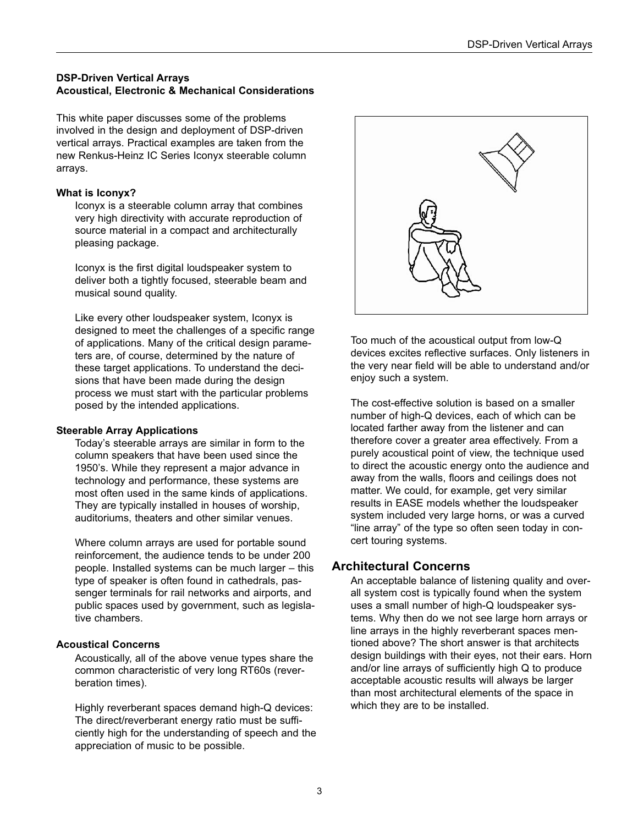# **DSP-Driven Vertical Arrays Acoustical, Electronic & Mechanical Considerations**

This white paper discusses some of the problems involved in the design and deployment of DSP-driven vertical arrays. Practical examples are taken from the new Renkus-Heinz IC Series Iconyx steerable column arrays.

#### **What is Iconyx?**

Iconyx is a steerable column array that combines very high directivity with accurate reproduction of source material in a compact and architecturally pleasing package.

Iconyx is the first digital loudspeaker system to deliver both a tightly focused, steerable beam and musical sound quality.

Like every other loudspeaker system, Iconyx is designed to meet the challenges of a specific range of applications. Many of the critical design parameters are, of course, determined by the nature of these target applications. To understand the decisions that have been made during the design process we must start with the particular problems posed by the intended applications.

## **Steerable Array Applications**

Today's steerable arrays are similar in form to the column speakers that have been used since the 1950's. While they represent a major advance in technology and performance, these systems are most often used in the same kinds of applications. They are typically installed in houses of worship, auditoriums, theaters and other similar venues.

Where column arrays are used for portable sound reinforcement, the audience tends to be under 200 people. Installed systems can be much larger – this type of speaker is often found in cathedrals, passenger terminals for rail networks and airports, and public spaces used by government, such as legislative chambers.

## **Acoustical Concerns**

Acoustically, all of the above venue types share the common characteristic of very long RT60s (reverberation times).

Highly reverberant spaces demand high-Q devices: The direct/reverberant energy ratio must be sufficiently high for the understanding of speech and the appreciation of music to be possible.



Too much of the acoustical output from low-Q devices excites reflective surfaces. Only listeners in the very near field will be able to understand and/or enjoy such a system.

The cost-effective solution is based on a smaller number of high-Q devices, each of which can be located farther away from the listener and can therefore cover a greater area effectively. From a purely acoustical point of view, the technique used to direct the acoustic energy onto the audience and away from the walls, floors and ceilings does not matter. We could, for example, get very similar results in EASE models whether the loudspeaker system included very large horns, or was a curved "line array" of the type so often seen today in concert touring systems.

# **Architectural Concerns**

An acceptable balance of listening quality and overall system cost is typically found when the system uses a small number of high-Q loudspeaker systems. Why then do we not see large horn arrays or line arrays in the highly reverberant spaces mentioned above? The short answer is that architects design buildings with their eyes, not their ears. Horn and/or line arrays of sufficiently high Q to produce acceptable acoustic results will always be larger than most architectural elements of the space in which they are to be installed.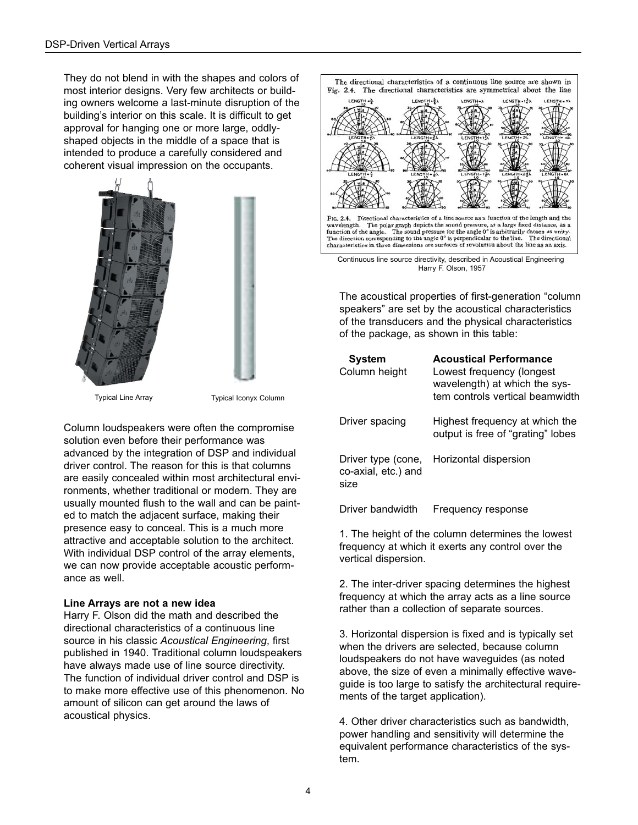They do not blend in with the shapes and colors of most interior designs. Very few architects or building owners welcome a last-minute disruption of the building's interior on this scale. It is difficult to get approval for hanging one or more large, oddlyshaped objects in the middle of a space that is intended to produce a carefully considered and coherent visual impression on the occupants.



Typical Line Array Typical Iconyx Column

Column loudspeakers were often the compromise solution even before their performance was advanced by the integration of DSP and individual driver control. The reason for this is that columns are easily concealed within most architectural environments, whether traditional or modern. They are usually mounted flush to the wall and can be painted to match the adjacent surface, making their presence easy to conceal. This is a much more attractive and acceptable solution to the architect. With individual DSP control of the array elements, we can now provide acceptable acoustic performance as well.

#### **Line Arrays are not a new idea**

Harry F. Olson did the math and described the directional characteristics of a continuous line source in his classic *Acoustical Engineering*, first published in 1940. Traditional column loudspeakers have always made use of line source directivity. The function of individual driver control and DSP is to make more effective use of this phenomenon. No amount of silicon can get around the laws of acoustical physics.



Continuous line source directivity, described in Acoustical Engineering Harry F. Olson, 1957

The acoustical properties of first-generation "column speakers" are set by the acoustical characteristics of the transducers and the physical characteristics of the package, as shown in this table:

| System<br>Column height                           | <b>Acoustical Performance</b><br>Lowest frequency (longest<br>wavelength) at which the sys-<br>tem controls vertical beamwidth |
|---------------------------------------------------|--------------------------------------------------------------------------------------------------------------------------------|
| Driver spacing                                    | Highest frequency at which the<br>output is free of "grating" lobes                                                            |
| Driver type (cone,<br>co-axial, etc.) and<br>size | Horizontal dispersion                                                                                                          |
| Driver bandwidth                                  | Frequency response                                                                                                             |

1. The height of the column determines the lowest frequency at which it exerts any control over the vertical dispersion.

2. The inter-driver spacing determines the highest frequency at which the array acts as a line source rather than a collection of separate sources.

3. Horizontal dispersion is fixed and is typically set when the drivers are selected, because column loudspeakers do not have waveguides (as noted above, the size of even a minimally effective waveguide is too large to satisfy the architectural requirements of the target application).

4. Other driver characteristics such as bandwidth, power handling and sensitivity will determine the equivalent performance characteristics of the system.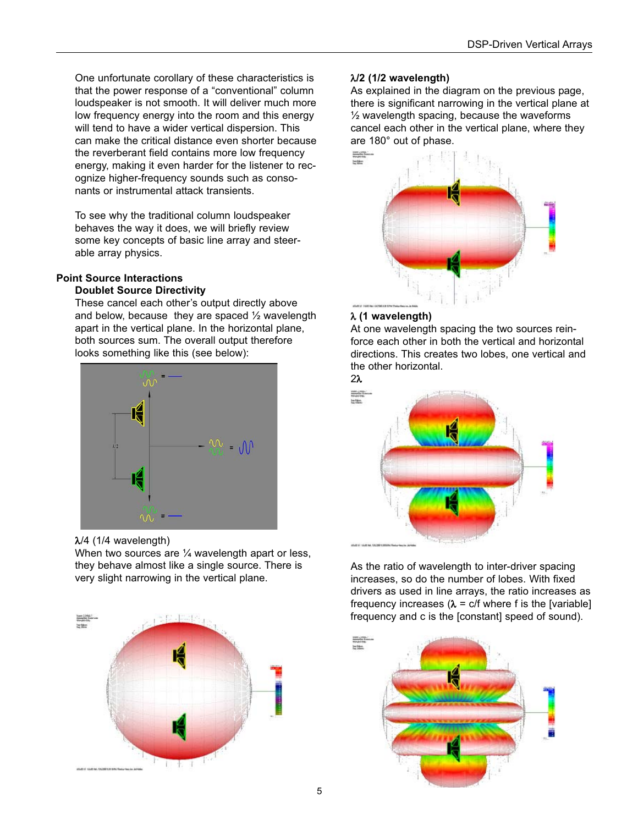One unfortunate corollary of these characteristics is that the power response of a "conventional" column loudspeaker is not smooth. It will deliver much more low frequency energy into the room and this energy will tend to have a wider vertical dispersion. This can make the critical distance even shorter because the reverberant field contains more low frequency energy, making it even harder for the listener to recognize higher-frequency sounds such as consonants or instrumental attack transients.

To see why the traditional column loudspeaker behaves the way it does, we will briefly review some key concepts of basic line array and steerable array physics.

# **Point Source Interactions**

#### **Doublet Source Directivity**

These cancel each other's output directly above and below, because they are spaced  $\frac{1}{2}$  wavelength apart in the vertical plane. In the horizontal plane, both sources sum. The overall output therefore looks something like this (see below):



## λ/4 (1/4 wavelength)

When two sources are 1/4 wavelength apart or less, they behave almost like a single source. There is very slight narrowing in the vertical plane.



# λ**/2 (1/2 wavelength)**

As explained in the diagram on the previous page, there is significant narrowing in the vertical plane at  $\frac{1}{2}$  wavelength spacing, because the waveforms cancel each other in the vertical plane, where they are 180° out of phase.



# λ **(1 wavelength)**

At one wavelength spacing the two sources reinforce each other in both the vertical and horizontal directions. This creates two lobes, one vertical and the other horizontal.





As the ratio of wavelength to inter-driver spacing increases, so do the number of lobes. With fixed drivers as used in line arrays, the ratio increases as frequency increases ( $\lambda$  = c/f where f is the [variable] frequency and c is the [constant] speed of sound).

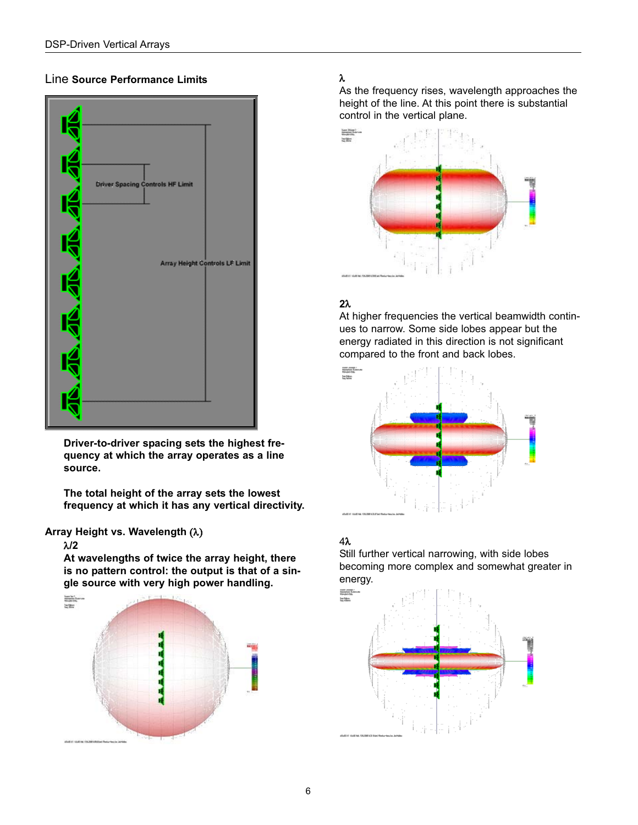# Line **Source Performance Limits**



**Driver-to-driver spacing sets the highest frequency at which the array operates as a line source.**

**The total height of the array sets the lowest frequency at which it has any vertical directivity.**

# **Array Height vs. Wavelength** (λ)

#### λ**/2**

**At wavelengths of twice the array height, there is no pattern control: the output is that of a single source with very high power handling.**



# λ

As the frequency rises, wavelength approaches the height of the line. At this point there is substantial control in the vertical plane.



# **2**λ

At higher frequencies the vertical beamwidth continues to narrow. Some side lobes appear but the energy radiated in this direction is not significant compared to the front and back lobes.



# 4λ

Still further vertical narrowing, with side lobes becoming more complex and somewhat greater in energy.

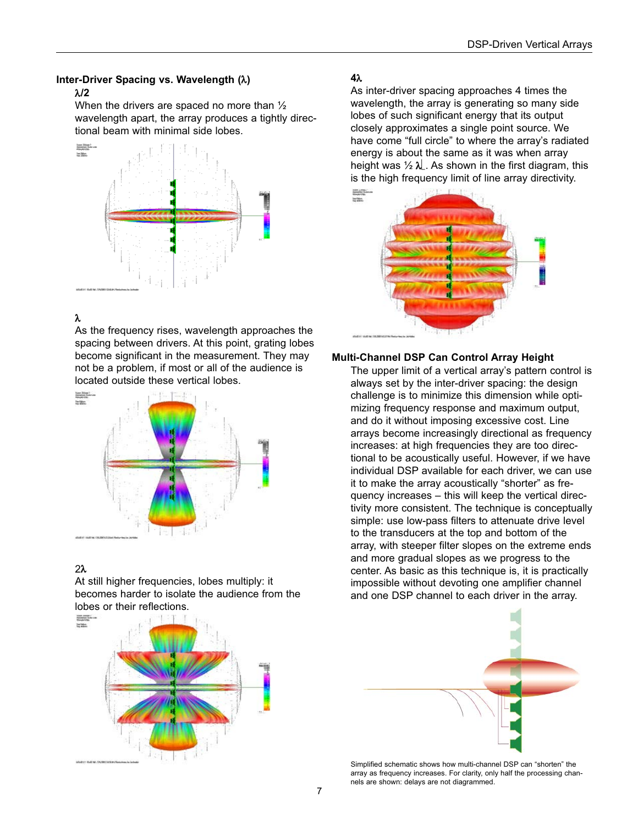#### **Inter-Driver Spacing vs. Wavelength (**λ**)**

#### λ**/2**

When the drivers are spaced no more than  $\frac{1}{2}$ wavelength apart, the array produces a tightly directional beam with minimal side lobes.



# λ

As the frequency rises, wavelength approaches the spacing between drivers. At this point, grating lobes become significant in the measurement. They may not be a problem, if most or all of the audience is located outside these vertical lobes.



# 2λ

At still higher frequencies, lobes multiply: it becomes harder to isolate the audience from the lobes or their reflections.



# **4**λ

As inter-driver spacing approaches 4 times the wavelength, the array is generating so many side lobes of such significant energy that its output closely approximates a single point source. We have come "full circle" to where the array's radiated energy is about the same as it was when array height was  $\frac{1}{2} \lambda$ . As shown in the first diagram, this is the high frequency limit of line array directivity.



## **Multi-Channel DSP Can Control Array Height**

The upper limit of a vertical array's pattern control is always set by the inter-driver spacing: the design challenge is to minimize this dimension while optimizing frequency response and maximum output, and do it without imposing excessive cost. Line arrays become increasingly directional as frequency increases: at high frequencies they are too directional to be acoustically useful. However, if we have individual DSP available for each driver, we can use it to make the array acoustically "shorter" as frequency increases – this will keep the vertical directivity more consistent. The technique is conceptually simple: use low-pass filters to attenuate drive level to the transducers at the top and bottom of the array, with steeper filter slopes on the extreme ends and more gradual slopes as we progress to the center. As basic as this technique is, it is practically impossible without devoting one amplifier channel and one DSP channel to each driver in the array.



Simplified schematic shows how multi-channel DSP can "shorten" the array as frequency increases. For clarity, only half the processing channels are shown: delays are not diagrammed.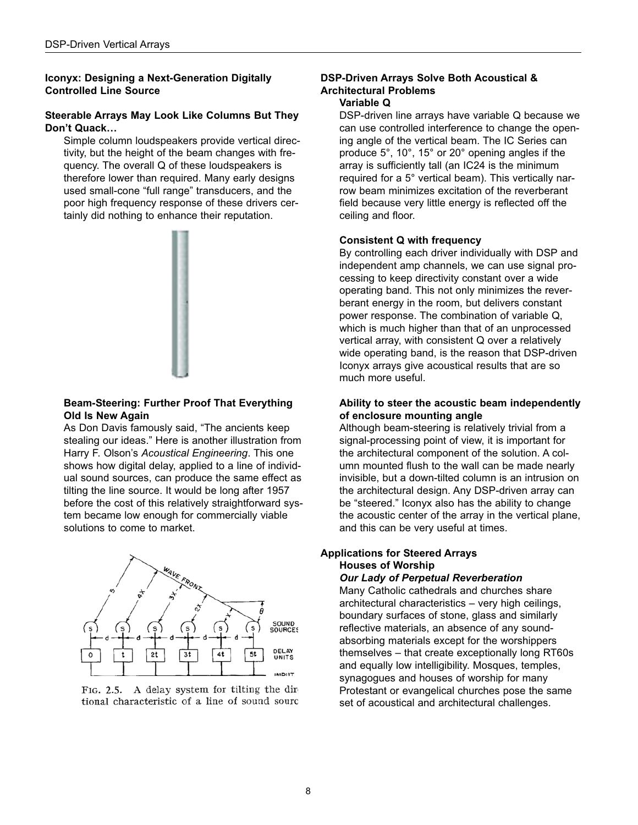# **Iconyx: Designing a Next-Generation Digitally Controlled Line Source**

#### **Steerable Arrays May Look Like Columns But They Don't Quack…**

Simple column loudspeakers provide vertical directivity, but the height of the beam changes with frequency. The overall Q of these loudspeakers is therefore lower than required. Many early designs used small-cone "full range" transducers, and the poor high frequency response of these drivers certainly did nothing to enhance their reputation.



# **Beam-Steering: Further Proof That Everything Old Is New Again**

As Don Davis famously said, "The ancients keep stealing our ideas." Here is another illustration from Harry F. Olson's *Acoustical Engineering*. This one shows how digital delay, applied to a line of individual sound sources, can produce the same effect as tilting the line source. It would be long after 1957 before the cost of this relatively straightforward system became low enough for commercially viable solutions to come to market.



FIG. 2.5. A delay system for tilting the dir tional characteristic of a line of sound sourc

# **DSP-Driven Arrays Solve Both Acoustical & Architectural Problems**

# **Variable Q**

DSP-driven line arrays have variable Q because we can use controlled interference to change the opening angle of the vertical beam. The IC Series can produce 5°, 10°, 15° or 20° opening angles if the array is sufficiently tall (an IC24 is the minimum required for a 5° vertical beam). This vertically narrow beam minimizes excitation of the reverberant field because very little energy is reflected off the ceiling and floor.

## **Consistent Q with frequency**

By controlling each driver individually with DSP and independent amp channels, we can use signal processing to keep directivity constant over a wide operating band. This not only minimizes the reverberant energy in the room, but delivers constant power response. The combination of variable Q, which is much higher than that of an unprocessed vertical array, with consistent Q over a relatively wide operating band, is the reason that DSP-driven Iconyx arrays give acoustical results that are so much more useful.

#### **Ability to steer the acoustic beam independently of enclosure mounting angle**

Although beam-steering is relatively trivial from a signal-processing point of view, it is important for the architectural component of the solution. A column mounted flush to the wall can be made nearly invisible, but a down-tilted column is an intrusion on the architectural design. Any DSP-driven array can be "steered." Iconyx also has the ability to change the acoustic center of the array in the vertical plane, and this can be very useful at times.

## **Applications for Steered Arrays Houses of Worship**

#### *Our Lady of Perpetual Reverberation*

Many Catholic cathedrals and churches share architectural characteristics – very high ceilings, boundary surfaces of stone, glass and similarly reflective materials, an absence of any soundabsorbing materials except for the worshippers themselves – that create exceptionally long RT60s and equally low intelligibility. Mosques, temples, synagogues and houses of worship for many Protestant or evangelical churches pose the same set of acoustical and architectural challenges.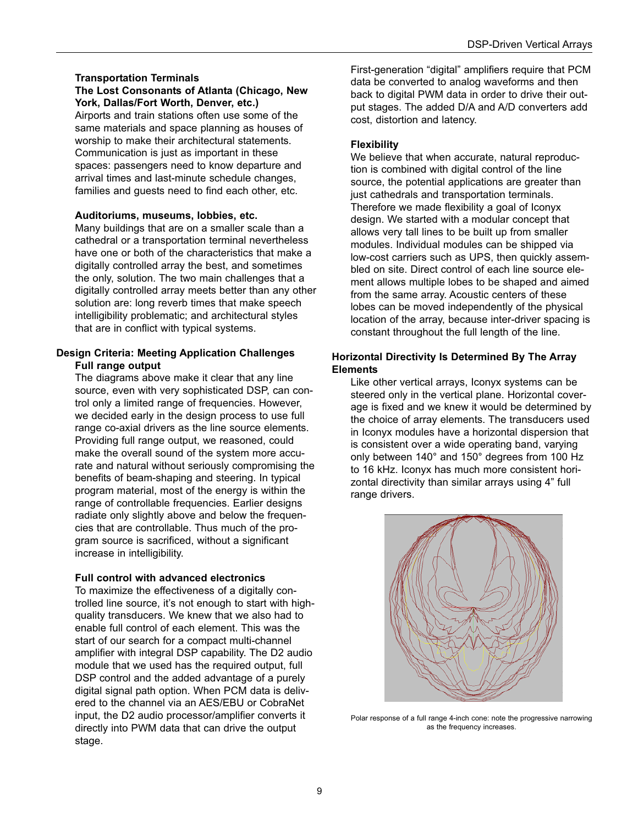## **Transportation Terminals**

#### **The Lost Consonants of Atlanta (Chicago, New York, Dallas/Fort Worth, Denver, etc.)**

Airports and train stations often use some of the same materials and space planning as houses of worship to make their architectural statements. Communication is just as important in these spaces: passengers need to know departure and arrival times and last-minute schedule changes, families and guests need to find each other, etc.

#### **Auditoriums, museums, lobbies, etc.**

Many buildings that are on a smaller scale than a cathedral or a transportation terminal nevertheless have one or both of the characteristics that make a digitally controlled array the best, and sometimes the only, solution. The two main challenges that a digitally controlled array meets better than any other solution are: long reverb times that make speech intelligibility problematic; and architectural styles that are in conflict with typical systems.

#### **Design Criteria: Meeting Application Challenges Full range output**

The diagrams above make it clear that any line source, even with very sophisticated DSP, can control only a limited range of frequencies. However, we decided early in the design process to use full range co-axial drivers as the line source elements. Providing full range output, we reasoned, could make the overall sound of the system more accurate and natural without seriously compromising the benefits of beam-shaping and steering. In typical program material, most of the energy is within the range of controllable frequencies. Earlier designs radiate only slightly above and below the frequencies that are controllable. Thus much of the program source is sacrificed, without a significant increase in intelligibility.

#### **Full control with advanced electronics**

To maximize the effectiveness of a digitally controlled line source, it's not enough to start with highquality transducers. We knew that we also had to enable full control of each element. This was the start of our search for a compact multi-channel amplifier with integral DSP capability. The D2 audio module that we used has the required output, full DSP control and the added advantage of a purely digital signal path option. When PCM data is delivered to the channel via an AES/EBU or CobraNet input, the D2 audio processor/amplifier converts it directly into PWM data that can drive the output stage.

First-generation "digital" amplifiers require that PCM data be converted to analog waveforms and then back to digital PWM data in order to drive their output stages. The added D/A and A/D converters add cost, distortion and latency.

#### **Flexibility**

We believe that when accurate, natural reproduction is combined with digital control of the line source, the potential applications are greater than just cathedrals and transportation terminals. Therefore we made flexibility a goal of Iconyx design. We started with a modular concept that allows very tall lines to be built up from smaller modules. Individual modules can be shipped via low-cost carriers such as UPS, then quickly assembled on site. Direct control of each line source element allows multiple lobes to be shaped and aimed from the same array. Acoustic centers of these lobes can be moved independently of the physical location of the array, because inter-driver spacing is constant throughout the full length of the line.

#### **Horizontal Directivity Is Determined By The Array Elements**

Like other vertical arrays, Iconyx systems can be steered only in the vertical plane. Horizontal coverage is fixed and we knew it would be determined by the choice of array elements. The transducers used in Iconyx modules have a horizontal dispersion that is consistent over a wide operating band, varying only between 140° and 150° degrees from 100 Hz to 16 kHz. Iconyx has much more consistent horizontal directivity than similar arrays using 4" full range drivers.



Polar response of a full range 4-inch cone: note the progressive narrowing as the frequency increases.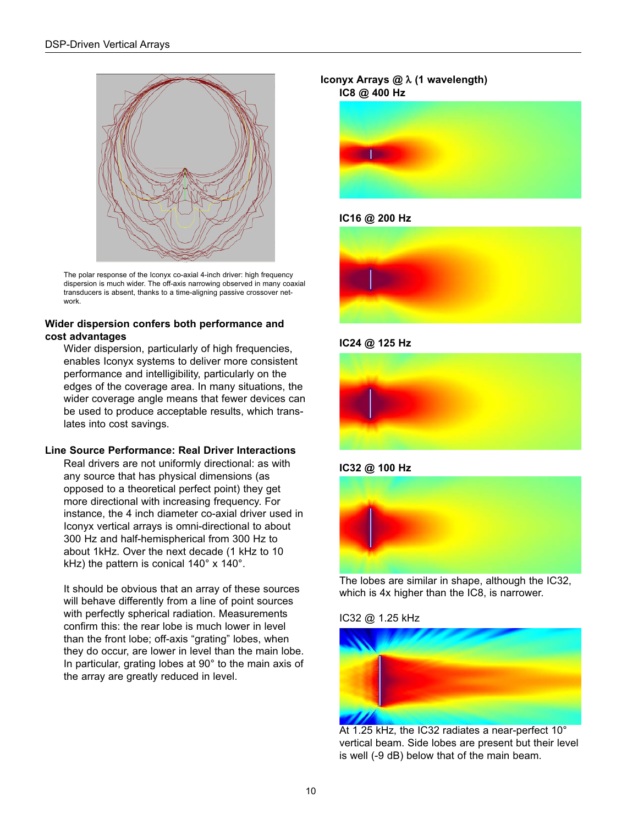

The polar response of the Iconyx co-axial 4-inch driver: high frequency dispersion is much wider. The off-axis narrowing observed in many coaxial transducers is absent, thanks to a time-aligning passive crossover network.

#### **Wider dispersion confers both performance and cost advantages**

Wider dispersion, particularly of high frequencies, enables Iconyx systems to deliver more consistent performance and intelligibility, particularly on the edges of the coverage area. In many situations, the wider coverage angle means that fewer devices can be used to produce acceptable results, which translates into cost savings.

#### **Line Source Performance: Real Driver Interactions**

Real drivers are not uniformly directional: as with any source that has physical dimensions (as opposed to a theoretical perfect point) they get more directional with increasing frequency. For instance, the 4 inch diameter co-axial driver used in Iconyx vertical arrays is omni-directional to about 300 Hz and half-hemispherical from 300 Hz to about 1kHz. Over the next decade (1 kHz to 10 kHz) the pattern is conical 140° x 140°.

It should be obvious that an array of these sources will behave differently from a line of point sources with perfectly spherical radiation. Measurements confirm this: the rear lobe is much lower in level than the front lobe; off-axis "grating" lobes, when they do occur, are lower in level than the main lobe. In particular, grating lobes at 90° to the main axis of the array are greatly reduced in level.

#### **Iconyx Arrays @** λ **(1 wavelength) IC8 @ 400 Hz**



#### **IC16 @ 200 Hz**



**IC24 @ 125 Hz**



**IC32 @ 100 Hz**



The lobes are similar in shape, although the IC32, which is 4x higher than the IC8, is narrower.

IC32 @ 1.25 kHz



At 1.25 kHz, the IC32 radiates a near-perfect 10° vertical beam. Side lobes are present but their level is well (-9 dB) below that of the main beam.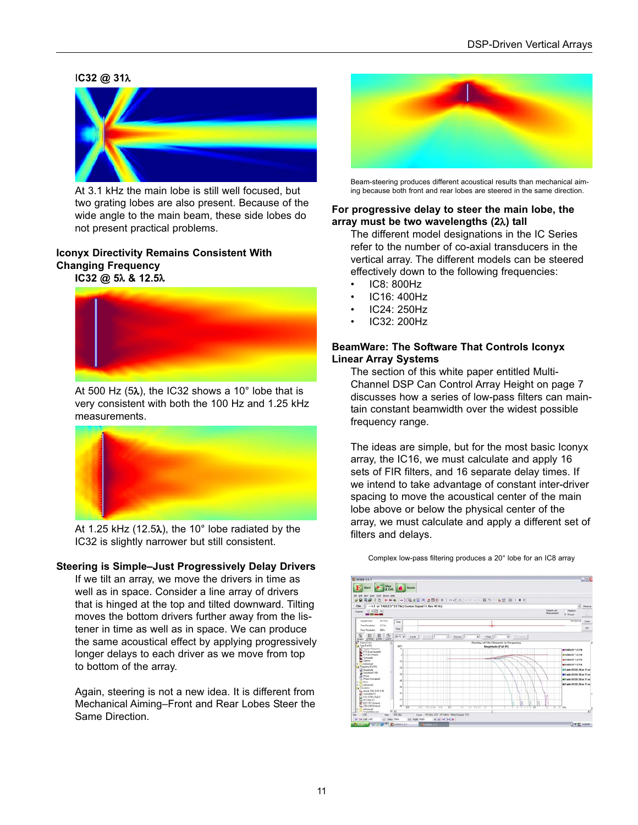#### I**C32 @ 31**λ



At 3.1 kHz the main lobe is still well focused, but two grating lobes are also present. Because of the wide angle to the main beam, these side lobes do not present practical problems.

# **Iconyx Directivity Remains Consistent With Changing Frequency**





At 500 Hz (5λ), the IC32 shows a 10° lobe that is very consistent with both the 100 Hz and 1.25 kHz measurements.



At 1.25 kHz (12.5λ), the 10° lobe radiated by the IC32 is slightly narrower but still consistent.

#### **Steering is Simple–Just Progressively Delay Drivers**

If we tilt an array, we move the drivers in time as well as in space. Consider a line array of drivers that is hinged at the top and tilted downward. Tilting moves the bottom drivers further away from the listener in time as well as in space. We can produce the same acoustical effect by applying progressively longer delays to each driver as we move from top to bottom of the array.

Again, steering is not a new idea. It is different from Mechanical Aiming–Front and Rear Lobes Steer the Same Direction.



Beam-steering produces different acoustical results than mechanical aiming because both front and rear lobes are steered in the same direction.

#### **For progressive delay to steer the main lobe, the array must be two wavelengths (2**λ**) tall**

The different model designations in the IC Series refer to the number of co-axial transducers in the vertical array. The different models can be steered effectively down to the following frequencies:

- IC8: 800Hz
- IC16: 400Hz
- IC24: 250Hz
- IC32: 200Hz

#### **BeamWare: The Software That Controls Iconyx Linear Array Systems**

The section of this white paper entitled Multi-Channel DSP Can Control Array Height on page 7 discusses how a series of low-pass filters can maintain constant beamwidth over the widest possible frequency range.

The ideas are simple, but for the most basic Iconyx array, the IC16, we must calculate and apply 16 sets of FIR filters, and 16 separate delay times. If we intend to take advantage of constant inter-driver spacing to move the acoustical center of the main lobe above or below the physical center of the array, we must calculate and apply a different set of filters and delays.



Complex low-pass filtering produces a 20° lobe for an IC8 array